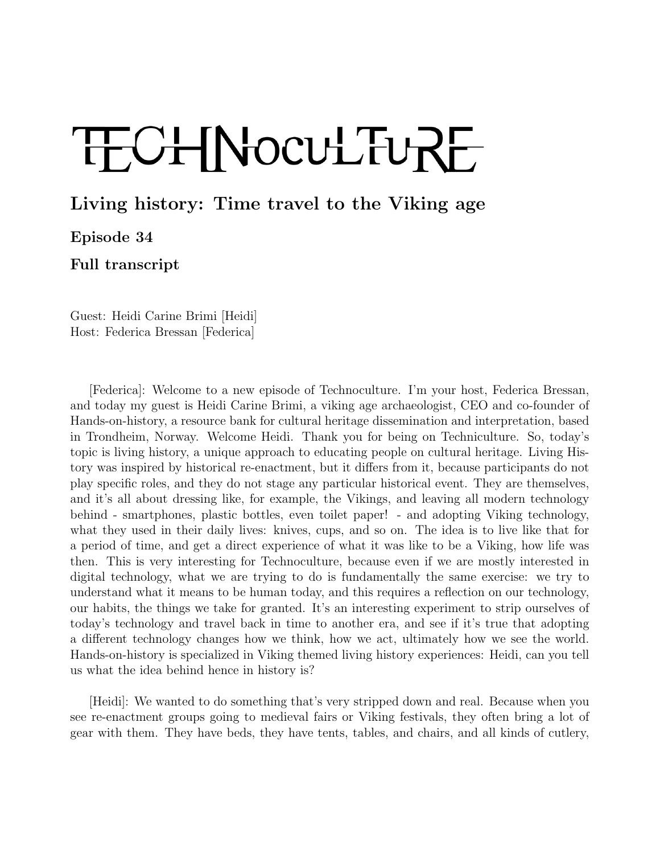## TECHNOCULTURE

## Living history: Time travel to the Viking age

Episode 34

Full transcript

Guest: Heidi Carine Brimi [Heidi] Host: Federica Bressan [Federica]

[Federica]: Welcome to a new episode of Technoculture. I'm your host, Federica Bressan, and today my guest is Heidi Carine Brimi, a viking age archaeologist, CEO and co-founder of Hands-on-history, a resource bank for cultural heritage dissemination and interpretation, based in Trondheim, Norway. Welcome Heidi. Thank you for being on Techniculture. So, today's topic is living history, a unique approach to educating people on cultural heritage. Living History was inspired by historical re-enactment, but it differs from it, because participants do not play specific roles, and they do not stage any particular historical event. They are themselves, and it's all about dressing like, for example, the Vikings, and leaving all modern technology behind - smartphones, plastic bottles, even toilet paper! - and adopting Viking technology, what they used in their daily lives: knives, cups, and so on. The idea is to live like that for a period of time, and get a direct experience of what it was like to be a Viking, how life was then. This is very interesting for Technoculture, because even if we are mostly interested in digital technology, what we are trying to do is fundamentally the same exercise: we try to understand what it means to be human today, and this requires a reflection on our technology, our habits, the things we take for granted. It's an interesting experiment to strip ourselves of today's technology and travel back in time to another era, and see if it's true that adopting a different technology changes how we think, how we act, ultimately how we see the world. Hands-on-history is specialized in Viking themed living history experiences: Heidi, can you tell us what the idea behind hence in history is?

[Heidi]: We wanted to do something that's very stripped down and real. Because when you see re-enactment groups going to medieval fairs or Viking festivals, they often bring a lot of gear with them. They have beds, they have tents, tables, and chairs, and all kinds of cutlery,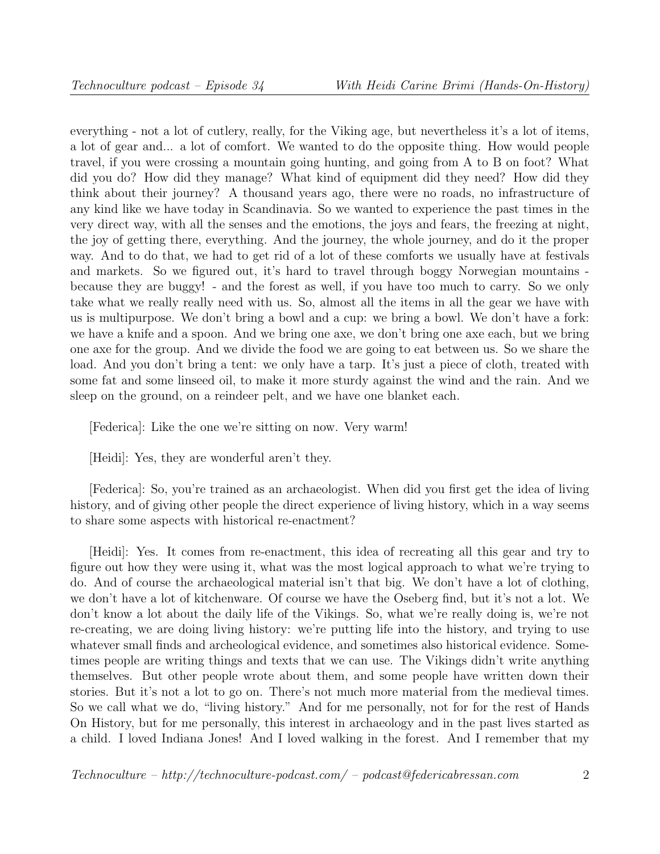everything - not a lot of cutlery, really, for the Viking age, but nevertheless it's a lot of items, a lot of gear and... a lot of comfort. We wanted to do the opposite thing. How would people travel, if you were crossing a mountain going hunting, and going from A to B on foot? What did you do? How did they manage? What kind of equipment did they need? How did they think about their journey? A thousand years ago, there were no roads, no infrastructure of any kind like we have today in Scandinavia. So we wanted to experience the past times in the very direct way, with all the senses and the emotions, the joys and fears, the freezing at night, the joy of getting there, everything. And the journey, the whole journey, and do it the proper way. And to do that, we had to get rid of a lot of these comforts we usually have at festivals and markets. So we figured out, it's hard to travel through boggy Norwegian mountains because they are buggy! - and the forest as well, if you have too much to carry. So we only take what we really really need with us. So, almost all the items in all the gear we have with us is multipurpose. We don't bring a bowl and a cup: we bring a bowl. We don't have a fork: we have a knife and a spoon. And we bring one axe, we don't bring one axe each, but we bring one axe for the group. And we divide the food we are going to eat between us. So we share the load. And you don't bring a tent: we only have a tarp. It's just a piece of cloth, treated with some fat and some linseed oil, to make it more sturdy against the wind and the rain. And we sleep on the ground, on a reindeer pelt, and we have one blanket each.

[Federica]: Like the one we're sitting on now. Very warm!

[Heidi]: Yes, they are wonderful aren't they.

[Federica]: So, you're trained as an archaeologist. When did you first get the idea of living history, and of giving other people the direct experience of living history, which in a way seems to share some aspects with historical re-enactment?

[Heidi]: Yes. It comes from re-enactment, this idea of recreating all this gear and try to figure out how they were using it, what was the most logical approach to what we're trying to do. And of course the archaeological material isn't that big. We don't have a lot of clothing, we don't have a lot of kitchenware. Of course we have the Oseberg find, but it's not a lot. We don't know a lot about the daily life of the Vikings. So, what we're really doing is, we're not re-creating, we are doing living history: we're putting life into the history, and trying to use whatever small finds and archeological evidence, and sometimes also historical evidence. Sometimes people are writing things and texts that we can use. The Vikings didn't write anything themselves. But other people wrote about them, and some people have written down their stories. But it's not a lot to go on. There's not much more material from the medieval times. So we call what we do, "living history." And for me personally, not for for the rest of Hands On History, but for me personally, this interest in archaeology and in the past lives started as a child. I loved Indiana Jones! And I loved walking in the forest. And I remember that my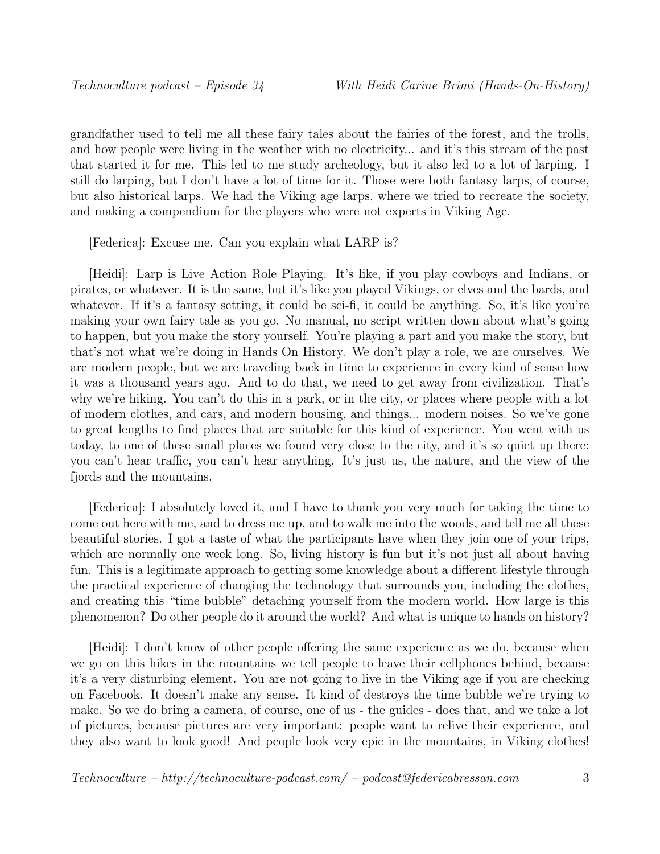grandfather used to tell me all these fairy tales about the fairies of the forest, and the trolls, and how people were living in the weather with no electricity... and it's this stream of the past that started it for me. This led to me study archeology, but it also led to a lot of larping. I still do larping, but I don't have a lot of time for it. Those were both fantasy larps, of course, but also historical larps. We had the Viking age larps, where we tried to recreate the society, and making a compendium for the players who were not experts in Viking Age.

[Federica]: Excuse me. Can you explain what LARP is?

[Heidi]: Larp is Live Action Role Playing. It's like, if you play cowboys and Indians, or pirates, or whatever. It is the same, but it's like you played Vikings, or elves and the bards, and whatever. If it's a fantasy setting, it could be sci-fi, it could be anything. So, it's like you're making your own fairy tale as you go. No manual, no script written down about what's going to happen, but you make the story yourself. You're playing a part and you make the story, but that's not what we're doing in Hands On History. We don't play a role, we are ourselves. We are modern people, but we are traveling back in time to experience in every kind of sense how it was a thousand years ago. And to do that, we need to get away from civilization. That's why we're hiking. You can't do this in a park, or in the city, or places where people with a lot of modern clothes, and cars, and modern housing, and things... modern noises. So we've gone to great lengths to find places that are suitable for this kind of experience. You went with us today, to one of these small places we found very close to the city, and it's so quiet up there: you can't hear traffic, you can't hear anything. It's just us, the nature, and the view of the fjords and the mountains.

[Federica]: I absolutely loved it, and I have to thank you very much for taking the time to come out here with me, and to dress me up, and to walk me into the woods, and tell me all these beautiful stories. I got a taste of what the participants have when they join one of your trips, which are normally one week long. So, living history is fun but it's not just all about having fun. This is a legitimate approach to getting some knowledge about a different lifestyle through the practical experience of changing the technology that surrounds you, including the clothes, and creating this "time bubble" detaching yourself from the modern world. How large is this phenomenon? Do other people do it around the world? And what is unique to hands on history?

[Heidi]: I don't know of other people offering the same experience as we do, because when we go on this hikes in the mountains we tell people to leave their cellphones behind, because it's a very disturbing element. You are not going to live in the Viking age if you are checking on Facebook. It doesn't make any sense. It kind of destroys the time bubble we're trying to make. So we do bring a camera, of course, one of us - the guides - does that, and we take a lot of pictures, because pictures are very important: people want to relive their experience, and they also want to look good! And people look very epic in the mountains, in Viking clothes!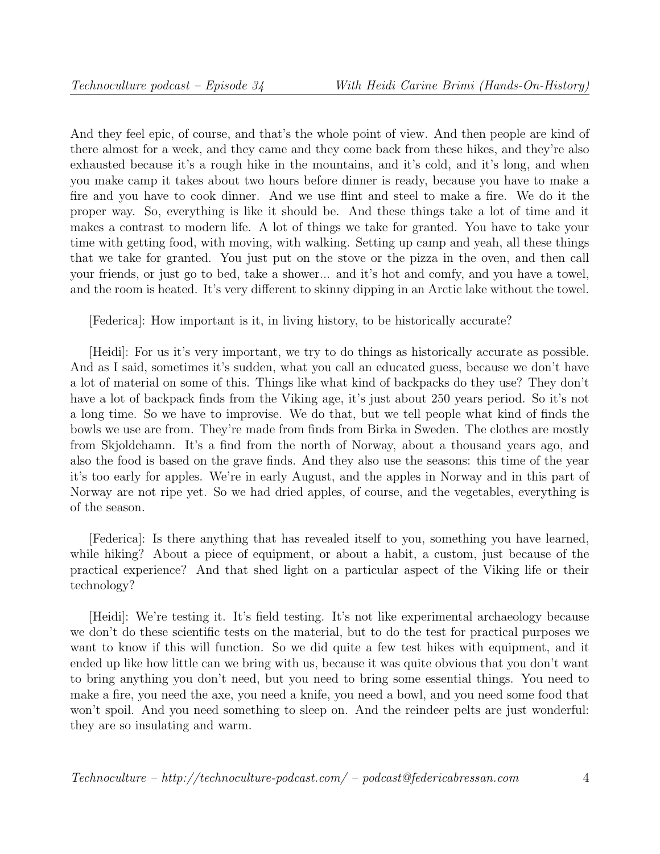And they feel epic, of course, and that's the whole point of view. And then people are kind of there almost for a week, and they came and they come back from these hikes, and they're also exhausted because it's a rough hike in the mountains, and it's cold, and it's long, and when you make camp it takes about two hours before dinner is ready, because you have to make a fire and you have to cook dinner. And we use flint and steel to make a fire. We do it the proper way. So, everything is like it should be. And these things take a lot of time and it makes a contrast to modern life. A lot of things we take for granted. You have to take your time with getting food, with moving, with walking. Setting up camp and yeah, all these things that we take for granted. You just put on the stove or the pizza in the oven, and then call your friends, or just go to bed, take a shower... and it's hot and comfy, and you have a towel, and the room is heated. It's very different to skinny dipping in an Arctic lake without the towel.

[Federica]: How important is it, in living history, to be historically accurate?

[Heidi]: For us it's very important, we try to do things as historically accurate as possible. And as I said, sometimes it's sudden, what you call an educated guess, because we don't have a lot of material on some of this. Things like what kind of backpacks do they use? They don't have a lot of backpack finds from the Viking age, it's just about 250 years period. So it's not a long time. So we have to improvise. We do that, but we tell people what kind of finds the bowls we use are from. They're made from finds from Birka in Sweden. The clothes are mostly from Skjoldehamn. It's a find from the north of Norway, about a thousand years ago, and also the food is based on the grave finds. And they also use the seasons: this time of the year it's too early for apples. We're in early August, and the apples in Norway and in this part of Norway are not ripe yet. So we had dried apples, of course, and the vegetables, everything is of the season.

[Federica]: Is there anything that has revealed itself to you, something you have learned, while hiking? About a piece of equipment, or about a habit, a custom, just because of the practical experience? And that shed light on a particular aspect of the Viking life or their technology?

[Heidi]: We're testing it. It's field testing. It's not like experimental archaeology because we don't do these scientific tests on the material, but to do the test for practical purposes we want to know if this will function. So we did quite a few test hikes with equipment, and it ended up like how little can we bring with us, because it was quite obvious that you don't want to bring anything you don't need, but you need to bring some essential things. You need to make a fire, you need the axe, you need a knife, you need a bowl, and you need some food that won't spoil. And you need something to sleep on. And the reindeer pelts are just wonderful: they are so insulating and warm.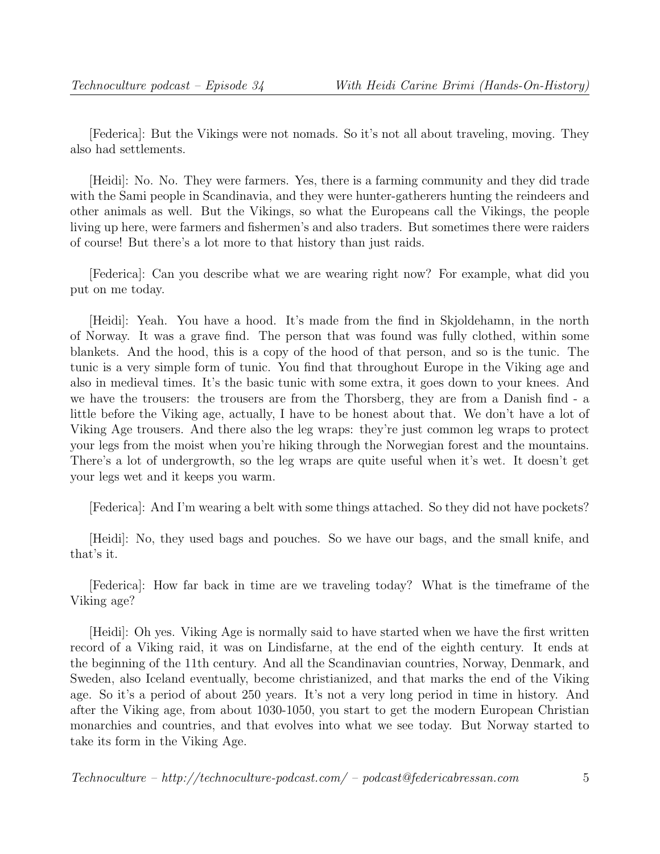[Federica]: But the Vikings were not nomads. So it's not all about traveling, moving. They also had settlements.

[Heidi]: No. No. They were farmers. Yes, there is a farming community and they did trade with the Sami people in Scandinavia, and they were hunter-gatherers hunting the reindeers and other animals as well. But the Vikings, so what the Europeans call the Vikings, the people living up here, were farmers and fishermen's and also traders. But sometimes there were raiders of course! But there's a lot more to that history than just raids.

[Federica]: Can you describe what we are wearing right now? For example, what did you put on me today.

[Heidi]: Yeah. You have a hood. It's made from the find in Skjoldehamn, in the north of Norway. It was a grave find. The person that was found was fully clothed, within some blankets. And the hood, this is a copy of the hood of that person, and so is the tunic. The tunic is a very simple form of tunic. You find that throughout Europe in the Viking age and also in medieval times. It's the basic tunic with some extra, it goes down to your knees. And we have the trousers: the trousers are from the Thorsberg, they are from a Danish find - a little before the Viking age, actually, I have to be honest about that. We don't have a lot of Viking Age trousers. And there also the leg wraps: they're just common leg wraps to protect your legs from the moist when you're hiking through the Norwegian forest and the mountains. There's a lot of undergrowth, so the leg wraps are quite useful when it's wet. It doesn't get your legs wet and it keeps you warm.

[Federica]: And I'm wearing a belt with some things attached. So they did not have pockets?

[Heidi]: No, they used bags and pouches. So we have our bags, and the small knife, and that's it.

[Federica]: How far back in time are we traveling today? What is the timeframe of the Viking age?

[Heidi]: Oh yes. Viking Age is normally said to have started when we have the first written record of a Viking raid, it was on Lindisfarne, at the end of the eighth century. It ends at the beginning of the 11th century. And all the Scandinavian countries, Norway, Denmark, and Sweden, also Iceland eventually, become christianized, and that marks the end of the Viking age. So it's a period of about 250 years. It's not a very long period in time in history. And after the Viking age, from about 1030-1050, you start to get the modern European Christian monarchies and countries, and that evolves into what we see today. But Norway started to take its form in the Viking Age.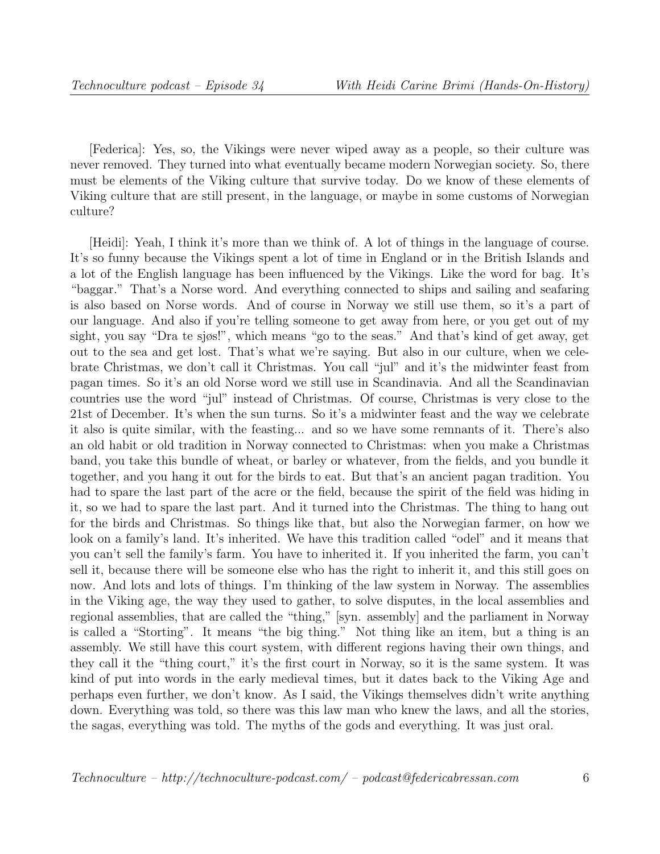[Federica]: Yes, so, the Vikings were never wiped away as a people, so their culture was never removed. They turned into what eventually became modern Norwegian society. So, there must be elements of the Viking culture that survive today. Do we know of these elements of Viking culture that are still present, in the language, or maybe in some customs of Norwegian culture?

[Heidi]: Yeah, I think it's more than we think of. A lot of things in the language of course. It's so funny because the Vikings spent a lot of time in England or in the British Islands and a lot of the English language has been influenced by the Vikings. Like the word for bag. It's "baggar." That's a Norse word. And everything connected to ships and sailing and seafaring is also based on Norse words. And of course in Norway we still use them, so it's a part of our language. And also if you're telling someone to get away from here, or you get out of my sight, you say "Dra te sjøs!", which means "go to the seas." And that's kind of get away, get out to the sea and get lost. That's what we're saying. But also in our culture, when we celebrate Christmas, we don't call it Christmas. You call "jul" and it's the midwinter feast from pagan times. So it's an old Norse word we still use in Scandinavia. And all the Scandinavian countries use the word "jul" instead of Christmas. Of course, Christmas is very close to the 21st of December. It's when the sun turns. So it's a midwinter feast and the way we celebrate it also is quite similar, with the feasting... and so we have some remnants of it. There's also an old habit or old tradition in Norway connected to Christmas: when you make a Christmas band, you take this bundle of wheat, or barley or whatever, from the fields, and you bundle it together, and you hang it out for the birds to eat. But that's an ancient pagan tradition. You had to spare the last part of the acre or the field, because the spirit of the field was hiding in it, so we had to spare the last part. And it turned into the Christmas. The thing to hang out for the birds and Christmas. So things like that, but also the Norwegian farmer, on how we look on a family's land. It's inherited. We have this tradition called "odel" and it means that you can't sell the family's farm. You have to inherited it. If you inherited the farm, you can't sell it, because there will be someone else who has the right to inherit it, and this still goes on now. And lots and lots of things. I'm thinking of the law system in Norway. The assemblies in the Viking age, the way they used to gather, to solve disputes, in the local assemblies and regional assemblies, that are called the "thing," [syn. assembly] and the parliament in Norway is called a "Storting". It means "the big thing." Not thing like an item, but a thing is an assembly. We still have this court system, with different regions having their own things, and they call it the "thing court," it's the first court in Norway, so it is the same system. It was kind of put into words in the early medieval times, but it dates back to the Viking Age and perhaps even further, we don't know. As I said, the Vikings themselves didn't write anything down. Everything was told, so there was this law man who knew the laws, and all the stories, the sagas, everything was told. The myths of the gods and everything. It was just oral.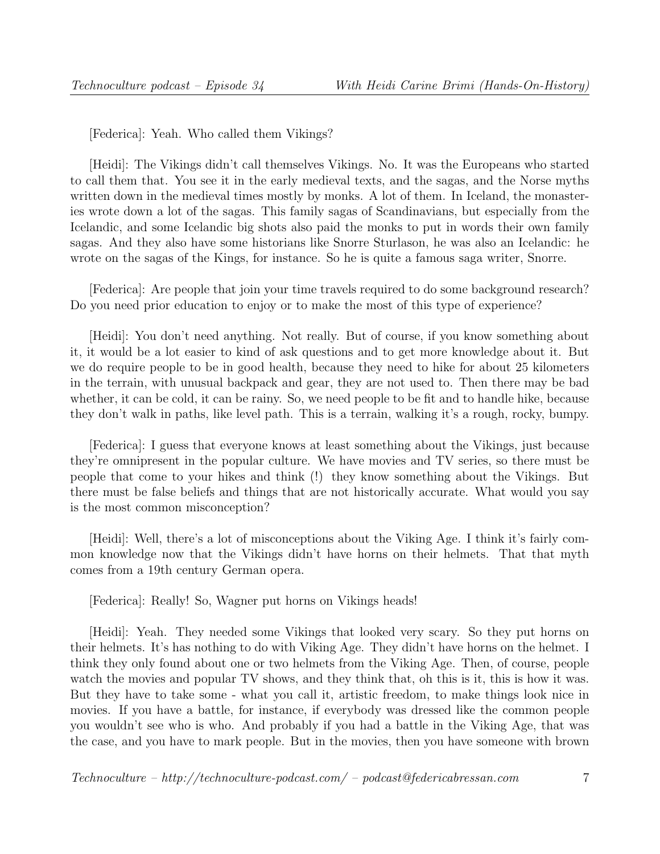[Federica]: Yeah. Who called them Vikings?

[Heidi]: The Vikings didn't call themselves Vikings. No. It was the Europeans who started to call them that. You see it in the early medieval texts, and the sagas, and the Norse myths written down in the medieval times mostly by monks. A lot of them. In Iceland, the monasteries wrote down a lot of the sagas. This family sagas of Scandinavians, but especially from the Icelandic, and some Icelandic big shots also paid the monks to put in words their own family sagas. And they also have some historians like Snorre Sturlason, he was also an Icelandic: he wrote on the sagas of the Kings, for instance. So he is quite a famous saga writer, Snorre.

[Federica]: Are people that join your time travels required to do some background research? Do you need prior education to enjoy or to make the most of this type of experience?

[Heidi]: You don't need anything. Not really. But of course, if you know something about it, it would be a lot easier to kind of ask questions and to get more knowledge about it. But we do require people to be in good health, because they need to hike for about 25 kilometers in the terrain, with unusual backpack and gear, they are not used to. Then there may be bad whether, it can be cold, it can be rainy. So, we need people to be fit and to handle hike, because they don't walk in paths, like level path. This is a terrain, walking it's a rough, rocky, bumpy.

[Federica]: I guess that everyone knows at least something about the Vikings, just because they're omnipresent in the popular culture. We have movies and TV series, so there must be people that come to your hikes and think (!) they know something about the Vikings. But there must be false beliefs and things that are not historically accurate. What would you say is the most common misconception?

[Heidi]: Well, there's a lot of misconceptions about the Viking Age. I think it's fairly common knowledge now that the Vikings didn't have horns on their helmets. That that myth comes from a 19th century German opera.

[Federica]: Really! So, Wagner put horns on Vikings heads!

[Heidi]: Yeah. They needed some Vikings that looked very scary. So they put horns on their helmets. It's has nothing to do with Viking Age. They didn't have horns on the helmet. I think they only found about one or two helmets from the Viking Age. Then, of course, people watch the movies and popular TV shows, and they think that, oh this is it, this is how it was. But they have to take some - what you call it, artistic freedom, to make things look nice in movies. If you have a battle, for instance, if everybody was dressed like the common people you wouldn't see who is who. And probably if you had a battle in the Viking Age, that was the case, and you have to mark people. But in the movies, then you have someone with brown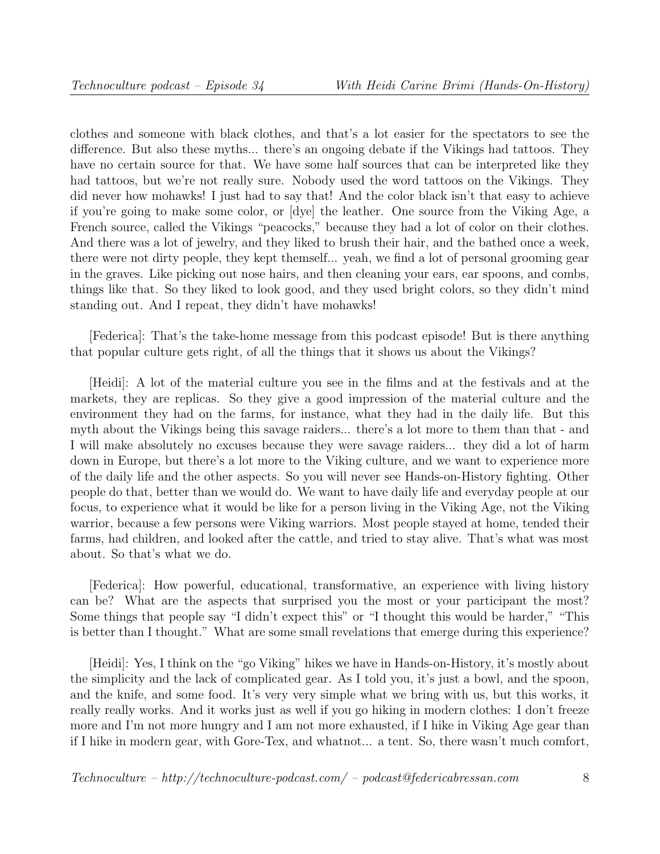clothes and someone with black clothes, and that's a lot easier for the spectators to see the difference. But also these myths... there's an ongoing debate if the Vikings had tattoos. They have no certain source for that. We have some half sources that can be interpreted like they had tattoos, but we're not really sure. Nobody used the word tattoos on the Vikings. They did never how mohawks! I just had to say that! And the color black isn't that easy to achieve if you're going to make some color, or [dye] the leather. One source from the Viking Age, a French source, called the Vikings "peacocks," because they had a lot of color on their clothes. And there was a lot of jewelry, and they liked to brush their hair, and the bathed once a week, there were not dirty people, they kept themself... yeah, we find a lot of personal grooming gear in the graves. Like picking out nose hairs, and then cleaning your ears, ear spoons, and combs, things like that. So they liked to look good, and they used bright colors, so they didn't mind standing out. And I repeat, they didn't have mohawks!

[Federica]: That's the take-home message from this podcast episode! But is there anything that popular culture gets right, of all the things that it shows us about the Vikings?

[Heidi]: A lot of the material culture you see in the films and at the festivals and at the markets, they are replicas. So they give a good impression of the material culture and the environment they had on the farms, for instance, what they had in the daily life. But this myth about the Vikings being this savage raiders... there's a lot more to them than that - and I will make absolutely no excuses because they were savage raiders... they did a lot of harm down in Europe, but there's a lot more to the Viking culture, and we want to experience more of the daily life and the other aspects. So you will never see Hands-on-History fighting. Other people do that, better than we would do. We want to have daily life and everyday people at our focus, to experience what it would be like for a person living in the Viking Age, not the Viking warrior, because a few persons were Viking warriors. Most people stayed at home, tended their farms, had children, and looked after the cattle, and tried to stay alive. That's what was most about. So that's what we do.

[Federica]: How powerful, educational, transformative, an experience with living history can be? What are the aspects that surprised you the most or your participant the most? Some things that people say "I didn't expect this" or "I thought this would be harder," "This is better than I thought." What are some small revelations that emerge during this experience?

[Heidi]: Yes, I think on the "go Viking" hikes we have in Hands-on-History, it's mostly about the simplicity and the lack of complicated gear. As I told you, it's just a bowl, and the spoon, and the knife, and some food. It's very very simple what we bring with us, but this works, it really really works. And it works just as well if you go hiking in modern clothes: I don't freeze more and I'm not more hungry and I am not more exhausted, if I hike in Viking Age gear than if I hike in modern gear, with Gore-Tex, and whatnot... a tent. So, there wasn't much comfort,